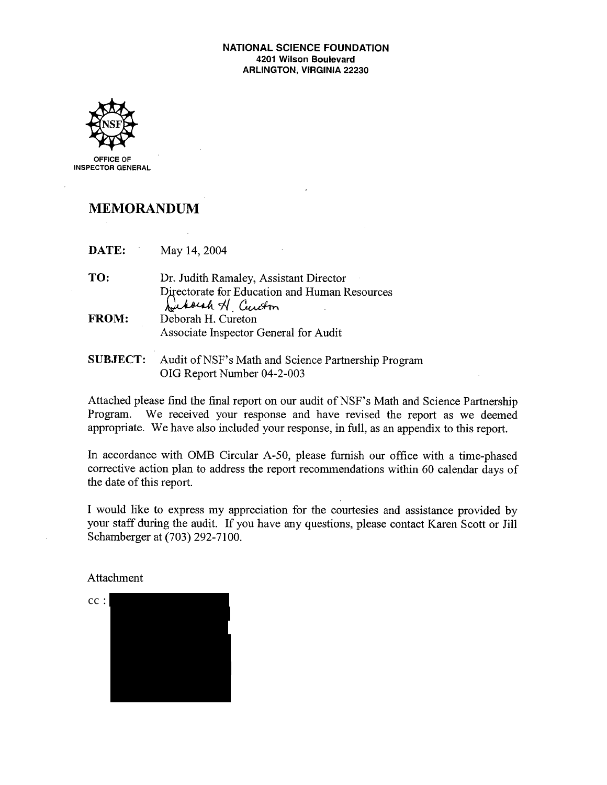#### **NATIONAL SCIENCE FOUNDATION** 4201 Wilson Boulevard **ARLINGTON, VIRGINIA 22230**



INSPECTOR GENERAL

### **MEMORANDUM**

DATE: May 14, 2004

- TO: Dr. Judith Ramaley, Assistant Director Directorate for Education and Human Resources Suborsh H Cureton FROM: Deborah H. Cureton Associate Inspector General for Audit
- **SUBJECT:** Audit of NSF's Math and Science Partnership Program OIG Report Number 04-2-003

Attached please find the final report on our audit of NSF's Math and Science Partnership Program. We received your response and have revised the report as we deemed appropriate. We have also included your response, in full, as an appendix to this report.

In accordance with OMB Circular A-50, please furnish our office with a time-phased corrective action plan to address the report recommendations within 60 calendar days of the date of this report.

I would like to express my appreciation for the courtesies and assistance provided by your staff during the audit. If you have any questions, please contact Karen Scott or Jill Schamberger at (703) 292-7100.

Attachment

 $cc$ :  $X \times X$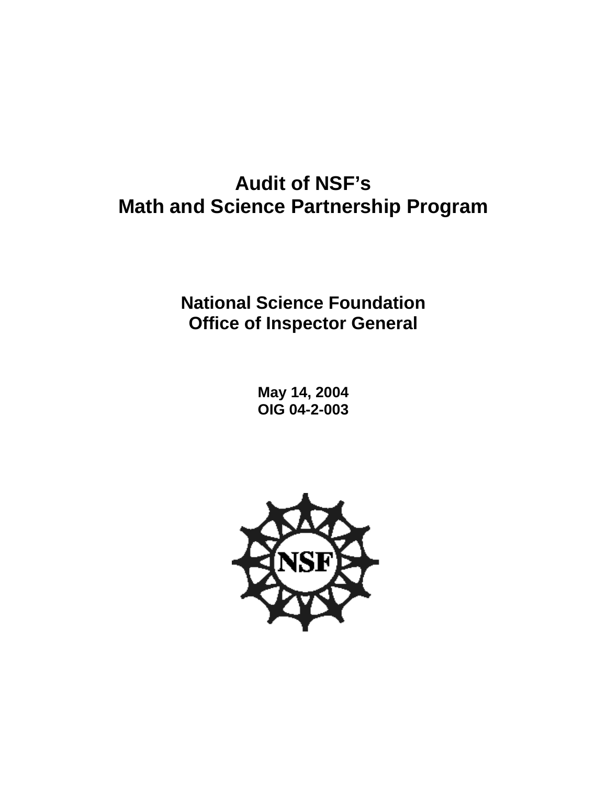# **Audit of NSF's Math and Science Partnership Program**

## **National Science Foundation Office of Inspector General**

**May 14, 2004 OIG 04-2-003** 

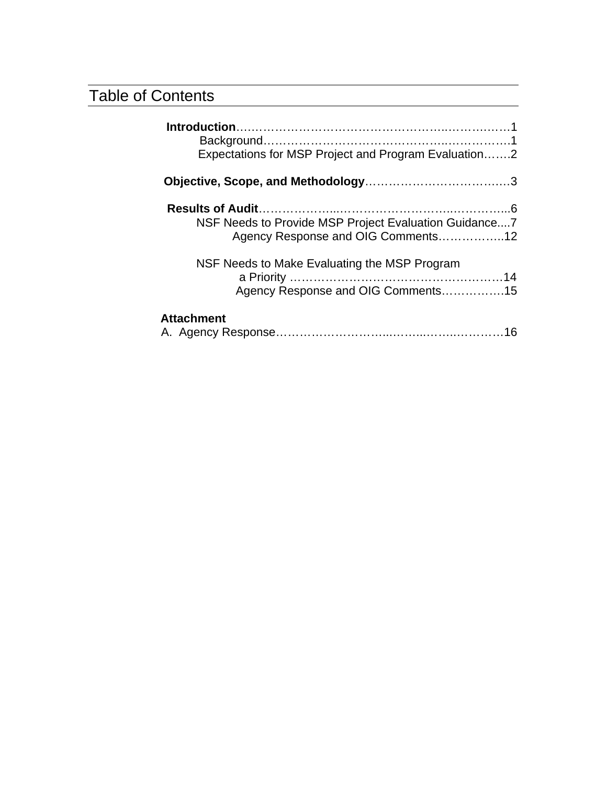## Table of Contents

| Expectations for MSP Project and Program Evaluation2                                        |
|---------------------------------------------------------------------------------------------|
|                                                                                             |
| NSF Needs to Provide MSP Project Evaluation Guidance7<br>Agency Response and OIG Comments12 |
| NSF Needs to Make Evaluating the MSP Program<br>Agency Response and OIG Comments15          |
| <b>Attachment</b>                                                                           |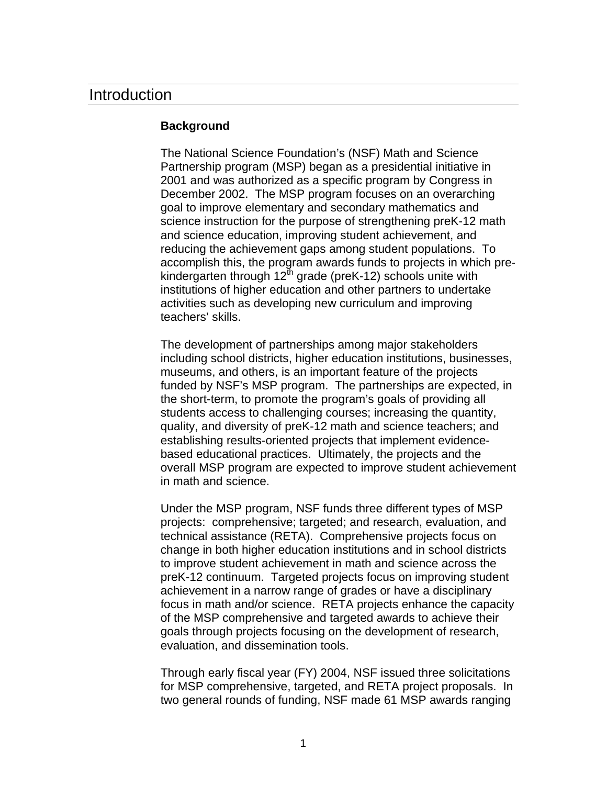### Introduction

#### **Background**

The National Science Foundation's (NSF) Math and Science Partnership program (MSP) began as a presidential initiative in 2001 and was authorized as a specific program by Congress in December 2002. The MSP program focuses on an overarching goal to improve elementary and secondary mathematics and science instruction for the purpose of strengthening preK-12 math and science education, improving student achievement, and reducing the achievement gaps among student populations. To accomplish this, the program awards funds to projects in which prekindergarten through  $12^{\text{th}}$  grade (preK-12) schools unite with institutions of higher education and other partners to undertake activities such as developing new curriculum and improving teachers' skills.

The development of partnerships among major stakeholders including school districts, higher education institutions, businesses, museums, and others, is an important feature of the projects funded by NSF's MSP program. The partnerships are expected, in the short-term, to promote the program's goals of providing all students access to challenging courses; increasing the quantity, quality, and diversity of preK-12 math and science teachers; and establishing results-oriented projects that implement evidencebased educational practices. Ultimately, the projects and the overall MSP program are expected to improve student achievement in math and science.

Under the MSP program, NSF funds three different types of MSP projects: comprehensive; targeted; and research, evaluation, and technical assistance (RETA). Comprehensive projects focus on change in both higher education institutions and in school districts to improve student achievement in math and science across the preK-12 continuum. Targeted projects focus on improving student achievement in a narrow range of grades or have a disciplinary focus in math and/or science. RETA projects enhance the capacity of the MSP comprehensive and targeted awards to achieve their goals through projects focusing on the development of research, evaluation, and dissemination tools.

Through early fiscal year (FY) 2004, NSF issued three solicitations for MSP comprehensive, targeted, and RETA project proposals. In two general rounds of funding, NSF made 61 MSP awards ranging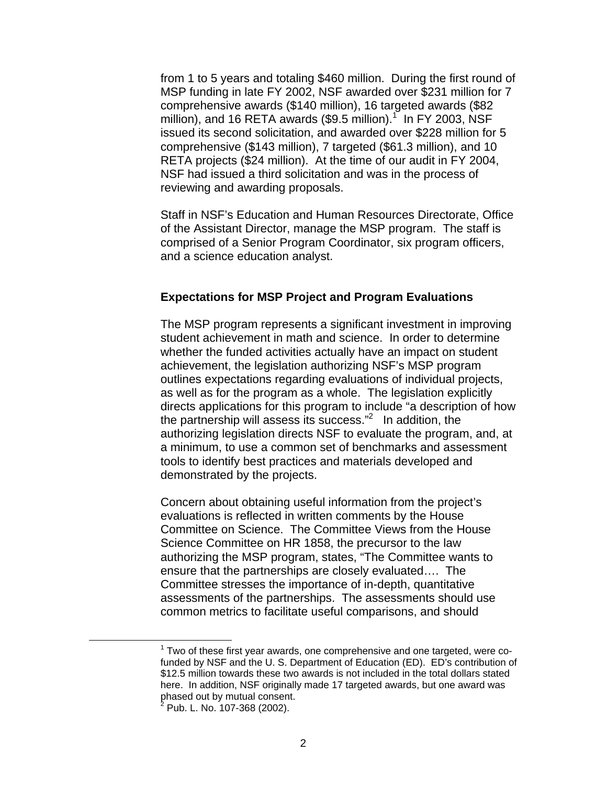from 1 to 5 years and totaling \$460 million. During the first round of MSP funding in late FY 2002, NSF awarded over \$231 million for 7 comprehensive awards (\$140 million), 16 targeted awards (\$82 million), and 16 RETA awards (\$9.5 million).<sup>1</sup> In FY 2003, NSF issued its second solicitation, and awarded over \$228 million for 5 comprehensive (\$143 million), 7 targeted (\$61.3 million), and 10 RETA projects (\$24 million). At the time of our audit in FY 2004, NSF had issued a third solicitation and was in the process of reviewing and awarding proposals.

Staff in NSF's Education and Human Resources Directorate, Office of the Assistant Director, manage the MSP program. The staff is comprised of a Senior Program Coordinator, six program officers, and a science education analyst.

#### **Expectations for MSP Project and Program Evaluations**

The MSP program represents a significant investment in improving student achievement in math and science. In order to determine whether the funded activities actually have an impact on student achievement, the legislation authorizing NSF's MSP program outlines expectations regarding evaluations of individual projects, as well as for the program as a whole. The legislation explicitly directs applications for this program to include "a description of how the partnership will assess its success."2 In addition, the authorizing legislation directs NSF to evaluate the program, and, at a minimum, to use a common set of benchmarks and assessment tools to identify best practices and materials developed and demonstrated by the projects.

Concern about obtaining useful information from the project's evaluations is reflected in written comments by the House Committee on Science. The Committee Views from the House Science Committee on HR 1858, the precursor to the law authorizing the MSP program, states, "The Committee wants to ensure that the partnerships are closely evaluated…. The Committee stresses the importance of in-depth, quantitative assessments of the partnerships. The assessments should use common metrics to facilitate useful comparisons, and should

<sup>&</sup>lt;u>1</u>  $1$  Two of these first year awards, one comprehensive and one targeted, were cofunded by NSF and the U. S. Department of Education (ED). ED's contribution of \$12.5 million towards these two awards is not included in the total dollars stated here. In addition, NSF originally made 17 targeted awards, but one award was phased out by mutual consent.<br><sup>2</sup> Pub L. No. 107, 268 (2002)

Pub. L. No. 107-368 (2002).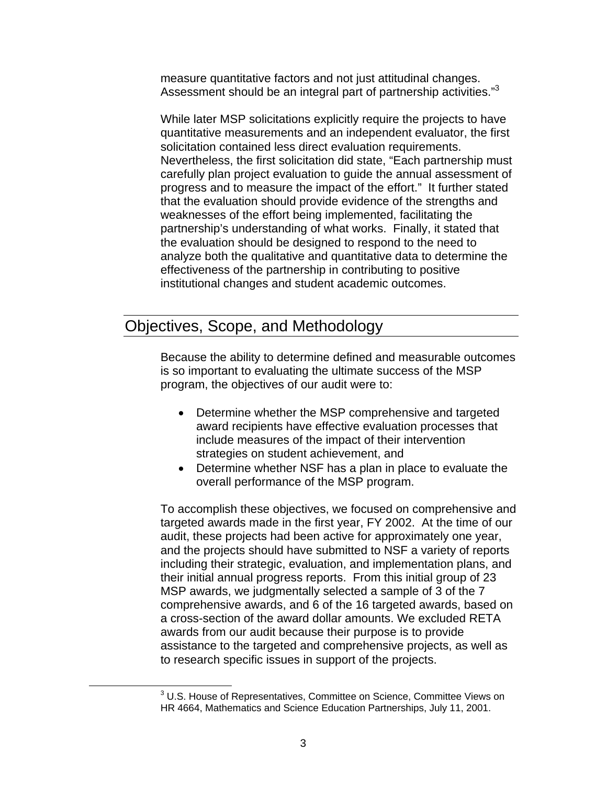measure quantitative factors and not just attitudinal changes. Assessment should be an integral part of partnership activities."<sup>3</sup>

While later MSP solicitations explicitly require the projects to have quantitative measurements and an independent evaluator, the first solicitation contained less direct evaluation requirements. Nevertheless, the first solicitation did state, "Each partnership must carefully plan project evaluation to guide the annual assessment of progress and to measure the impact of the effort." It further stated that the evaluation should provide evidence of the strengths and weaknesses of the effort being implemented, facilitating the partnership's understanding of what works. Finally, it stated that the evaluation should be designed to respond to the need to analyze both the qualitative and quantitative data to determine the effectiveness of the partnership in contributing to positive institutional changes and student academic outcomes.

### Objectives, Scope, and Methodology

Because the ability to determine defined and measurable outcomes is so important to evaluating the ultimate success of the MSP program, the objectives of our audit were to:

- Determine whether the MSP comprehensive and targeted award recipients have effective evaluation processes that include measures of the impact of their intervention strategies on student achievement, and
- Determine whether NSF has a plan in place to evaluate the overall performance of the MSP program.

To accomplish these objectives, we focused on comprehensive and targeted awards made in the first year, FY 2002. At the time of our audit, these projects had been active for approximately one year, and the projects should have submitted to NSF a variety of reports including their strategic, evaluation, and implementation plans, and their initial annual progress reports. From this initial group of 23 MSP awards, we judgmentally selected a sample of 3 of the 7 comprehensive awards, and 6 of the 16 targeted awards, based on a cross-section of the award dollar amounts. We excluded RETA awards from our audit because their purpose is to provide assistance to the targeted and comprehensive projects, as well as to research specific issues in support of the projects.

 $\overline{\phantom{a}}$  3 <sup>3</sup> U.S. House of Representatives, Committee on Science, Committee Views on HR 4664, Mathematics and Science Education Partnerships, July 11, 2001.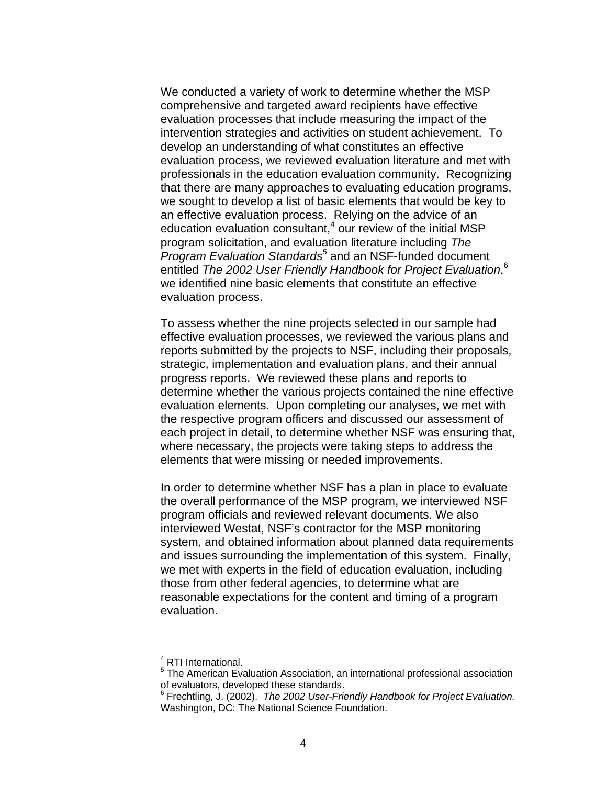We conducted a variety of work to determine whether the MSP comprehensive and targeted award recipients have effective evaluation processes that include measuring the impact of the intervention strategies and activities on student achievement. To develop an understanding of what constitutes an effective evaluation process, we reviewed evaluation literature and met with professionals in the education evaluation community. Recognizing that there are many approaches to evaluating education programs, we sought to develop a list of basic elements that would be key to an effective evaluation process. Relying on the advice of an education evaluation consultant,<sup>4</sup> our review of the initial MSP program solicitation, and evaluation literature including *The*  Program Evaluation Standards<sup>5</sup> and an NSF-funded document entitled *The 2002 User Friendly Handbook for Project Evaluation*, 6 we identified nine basic elements that constitute an effective evaluation process.

To assess whether the nine projects selected in our sample had effective evaluation processes, we reviewed the various plans and reports submitted by the projects to NSF, including their proposals, strategic, implementation and evaluation plans, and their annual progress reports. We reviewed these plans and reports to determine whether the various projects contained the nine effective evaluation elements. Upon completing our analyses, we met with the respective program officers and discussed our assessment of each project in detail, to determine whether NSF was ensuring that, where necessary, the projects were taking steps to address the elements that were missing or needed improvements.

In order to determine whether NSF has a plan in place to evaluate the overall performance of the MSP program, we interviewed NSF program officials and reviewed relevant documents. We also interviewed Westat, NSF's contractor for the MSP monitoring system, and obtained information about planned data requirements and issues surrounding the implementation of this system. Finally, we met with experts in the field of education evaluation, including those from other federal agencies, to determine what are reasonable expectations for the content and timing of a program evaluation.

 <sup>4</sup> <sup>4</sup> RTI International.

<sup>&</sup>lt;sup>5</sup> The American Evaluation Association, an international professional association of evaluators, developed these standards.

<sup>6</sup> Frechtling, J. (2002). *The 2002 User-Friendly Handbook for Project Evaluation.* Washington, DC: The National Science Foundation.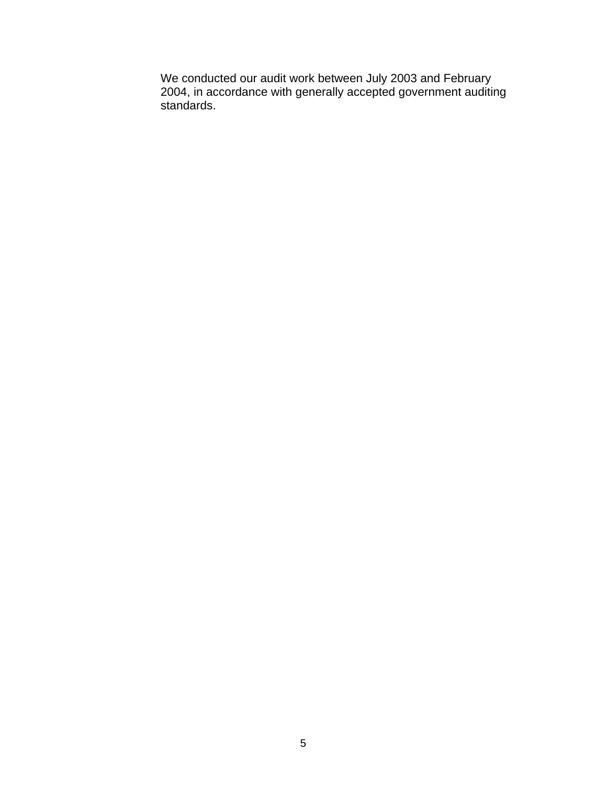We conducted our audit work between July 2003 and February 2004, in accordance with generally accepted government auditing standards.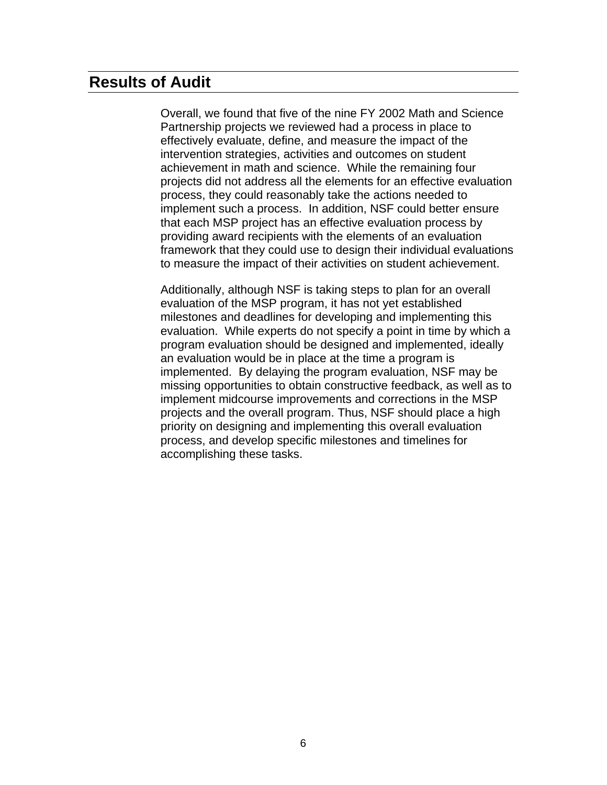## **Results of Audit**

Overall, we found that five of the nine FY 2002 Math and Science Partnership projects we reviewed had a process in place to effectively evaluate, define, and measure the impact of the intervention strategies, activities and outcomes on student achievement in math and science. While the remaining four projects did not address all the elements for an effective evaluation process, they could reasonably take the actions needed to implement such a process. In addition, NSF could better ensure that each MSP project has an effective evaluation process by providing award recipients with the elements of an evaluation framework that they could use to design their individual evaluations to measure the impact of their activities on student achievement.

Additionally, although NSF is taking steps to plan for an overall evaluation of the MSP program, it has not yet established milestones and deadlines for developing and implementing this evaluation. While experts do not specify a point in time by which a program evaluation should be designed and implemented, ideally an evaluation would be in place at the time a program is implemented. By delaying the program evaluation, NSF may be missing opportunities to obtain constructive feedback, as well as to implement midcourse improvements and corrections in the MSP projects and the overall program. Thus, NSF should place a high priority on designing and implementing this overall evaluation process, and develop specific milestones and timelines for accomplishing these tasks.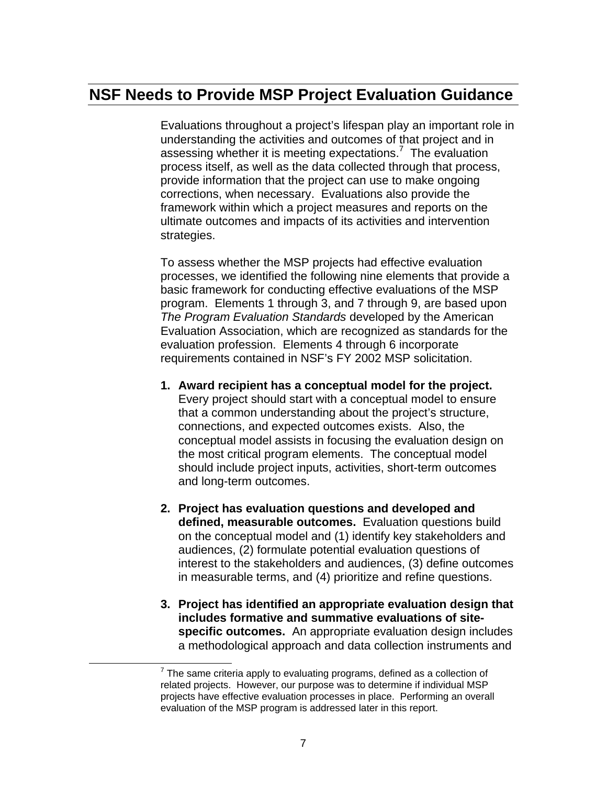## **NSF Needs to Provide MSP Project Evaluation Guidance**

Evaluations throughout a project's lifespan play an important role in understanding the activities and outcomes of that project and in assessing whether it is meeting expectations.<sup>7</sup> The evaluation process itself, as well as the data collected through that process, provide information that the project can use to make ongoing corrections, when necessary. Evaluations also provide the framework within which a project measures and reports on the ultimate outcomes and impacts of its activities and intervention strategies.

To assess whether the MSP projects had effective evaluation processes, we identified the following nine elements that provide a basic framework for conducting effective evaluations of the MSP program. Elements 1 through 3, and 7 through 9, are based upon *The Program Evaluation Standards* developed by the American Evaluation Association, which are recognized as standards for the evaluation profession. Elements 4 through 6 incorporate requirements contained in NSF's FY 2002 MSP solicitation.

- **1. Award recipient has a conceptual model for the project.** Every project should start with a conceptual model to ensure that a common understanding about the project's structure, connections, and expected outcomes exists. Also, the conceptual model assists in focusing the evaluation design on the most critical program elements. The conceptual model should include project inputs, activities, short-term outcomes and long-term outcomes.
- **2. Project has evaluation questions and developed and defined, measurable outcomes.** Evaluation questions build on the conceptual model and (1) identify key stakeholders and audiences, (2) formulate potential evaluation questions of interest to the stakeholders and audiences, (3) define outcomes in measurable terms, and (4) prioritize and refine questions.
- **3. Project has identified an appropriate evaluation design that includes formative and summative evaluations of sitespecific outcomes.** An appropriate evaluation design includes a methodological approach and data collection instruments and

<sup>&</sup>lt;u>7</u>  $<sup>7</sup>$  The same criteria apply to evaluating programs, defined as a collection of</sup> related projects. However, our purpose was to determine if individual MSP projects have effective evaluation processes in place. Performing an overall evaluation of the MSP program is addressed later in this report.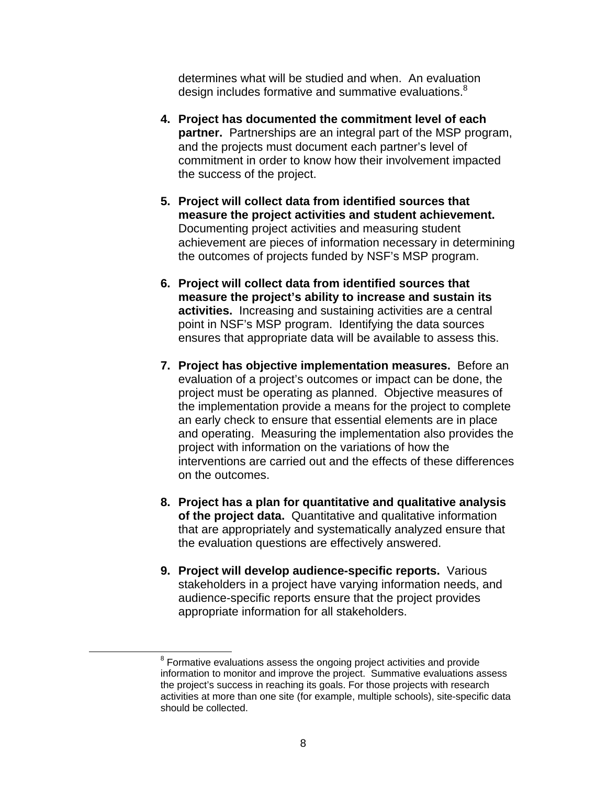determines what will be studied and when. An evaluation design includes formative and summative evaluations.<sup>8</sup>

- **4. Project has documented the commitment level of each partner.** Partnerships are an integral part of the MSP program, and the projects must document each partner's level of commitment in order to know how their involvement impacted the success of the project.
- **5. Project will collect data from identified sources that measure the project activities and student achievement.** Documenting project activities and measuring student achievement are pieces of information necessary in determining the outcomes of projects funded by NSF's MSP program.
- **6. Project will collect data from identified sources that measure the project's ability to increase and sustain its activities.** Increasing and sustaining activities are a central point in NSF's MSP program. Identifying the data sources ensures that appropriate data will be available to assess this.
- **7. Project has objective implementation measures.** Before an evaluation of a project's outcomes or impact can be done, the project must be operating as planned. Objective measures of the implementation provide a means for the project to complete an early check to ensure that essential elements are in place and operating. Measuring the implementation also provides the project with information on the variations of how the interventions are carried out and the effects of these differences on the outcomes.
- **8. Project has a plan for quantitative and qualitative analysis of the project data.** Quantitative and qualitative information that are appropriately and systematically analyzed ensure that the evaluation questions are effectively answered.
- **9. Project will develop audience-specific reports.** Various stakeholders in a project have varying information needs, and audience-specific reports ensure that the project provides appropriate information for all stakeholders.

 <sup>8</sup> <sup>8</sup> Formative evaluations assess the ongoing project activities and provide information to monitor and improve the project. Summative evaluations assess the project's success in reaching its goals. For those projects with research activities at more than one site (for example, multiple schools), site-specific data should be collected.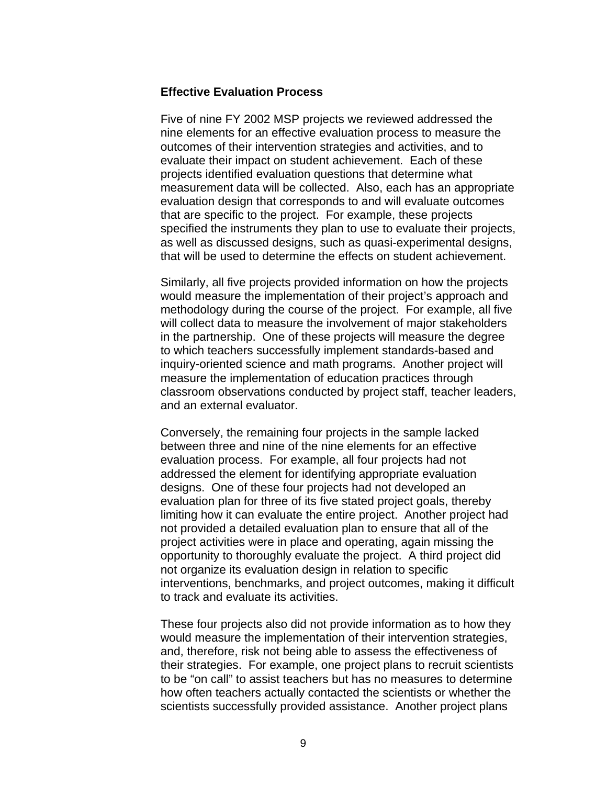#### **Effective Evaluation Process**

Five of nine FY 2002 MSP projects we reviewed addressed the nine elements for an effective evaluation process to measure the outcomes of their intervention strategies and activities, and to evaluate their impact on student achievement. Each of these projects identified evaluation questions that determine what measurement data will be collected. Also, each has an appropriate evaluation design that corresponds to and will evaluate outcomes that are specific to the project. For example, these projects specified the instruments they plan to use to evaluate their projects, as well as discussed designs, such as quasi-experimental designs, that will be used to determine the effects on student achievement.

Similarly, all five projects provided information on how the projects would measure the implementation of their project's approach and methodology during the course of the project. For example, all five will collect data to measure the involvement of major stakeholders in the partnership. One of these projects will measure the degree to which teachers successfully implement standards-based and inquiry-oriented science and math programs. Another project will measure the implementation of education practices through classroom observations conducted by project staff, teacher leaders, and an external evaluator.

Conversely, the remaining four projects in the sample lacked between three and nine of the nine elements for an effective evaluation process. For example, all four projects had not addressed the element for identifying appropriate evaluation designs. One of these four projects had not developed an evaluation plan for three of its five stated project goals, thereby limiting how it can evaluate the entire project. Another project had not provided a detailed evaluation plan to ensure that all of the project activities were in place and operating, again missing the opportunity to thoroughly evaluate the project. A third project did not organize its evaluation design in relation to specific interventions, benchmarks, and project outcomes, making it difficult to track and evaluate its activities.

These four projects also did not provide information as to how they would measure the implementation of their intervention strategies, and, therefore, risk not being able to assess the effectiveness of their strategies. For example, one project plans to recruit scientists to be "on call" to assist teachers but has no measures to determine how often teachers actually contacted the scientists or whether the scientists successfully provided assistance. Another project plans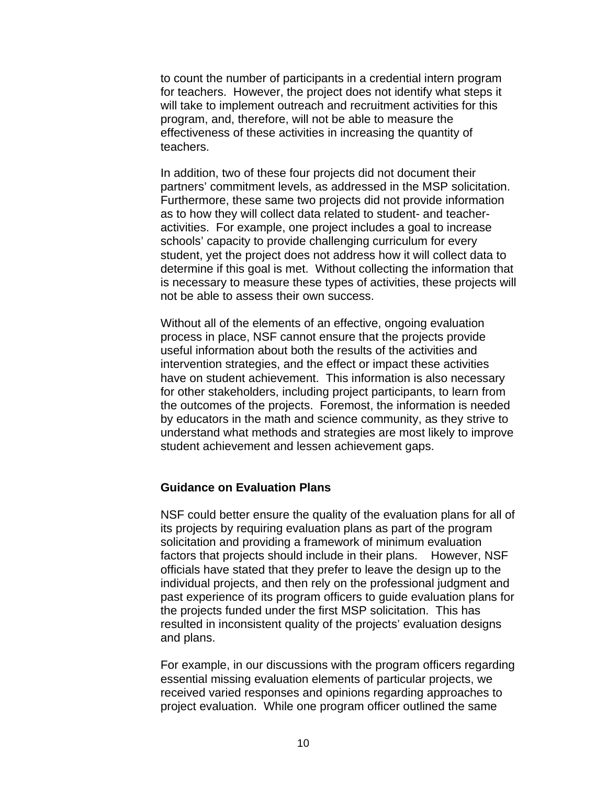to count the number of participants in a credential intern program for teachers. However, the project does not identify what steps it will take to implement outreach and recruitment activities for this program, and, therefore, will not be able to measure the effectiveness of these activities in increasing the quantity of teachers.

In addition, two of these four projects did not document their partners' commitment levels, as addressed in the MSP solicitation. Furthermore, these same two projects did not provide information as to how they will collect data related to student- and teacheractivities. For example, one project includes a goal to increase schools' capacity to provide challenging curriculum for every student, yet the project does not address how it will collect data to determine if this goal is met. Without collecting the information that is necessary to measure these types of activities, these projects will not be able to assess their own success.

Without all of the elements of an effective, ongoing evaluation process in place, NSF cannot ensure that the projects provide useful information about both the results of the activities and intervention strategies, and the effect or impact these activities have on student achievement. This information is also necessary for other stakeholders, including project participants, to learn from the outcomes of the projects. Foremost, the information is needed by educators in the math and science community, as they strive to understand what methods and strategies are most likely to improve student achievement and lessen achievement gaps.

#### **Guidance on Evaluation Plans**

NSF could better ensure the quality of the evaluation plans for all of its projects by requiring evaluation plans as part of the program solicitation and providing a framework of minimum evaluation factors that projects should include in their plans. However, NSF officials have stated that they prefer to leave the design up to the individual projects, and then rely on the professional judgment and past experience of its program officers to guide evaluation plans for the projects funded under the first MSP solicitation. This has resulted in inconsistent quality of the projects' evaluation designs and plans.

For example, in our discussions with the program officers regarding essential missing evaluation elements of particular projects, we received varied responses and opinions regarding approaches to project evaluation. While one program officer outlined the same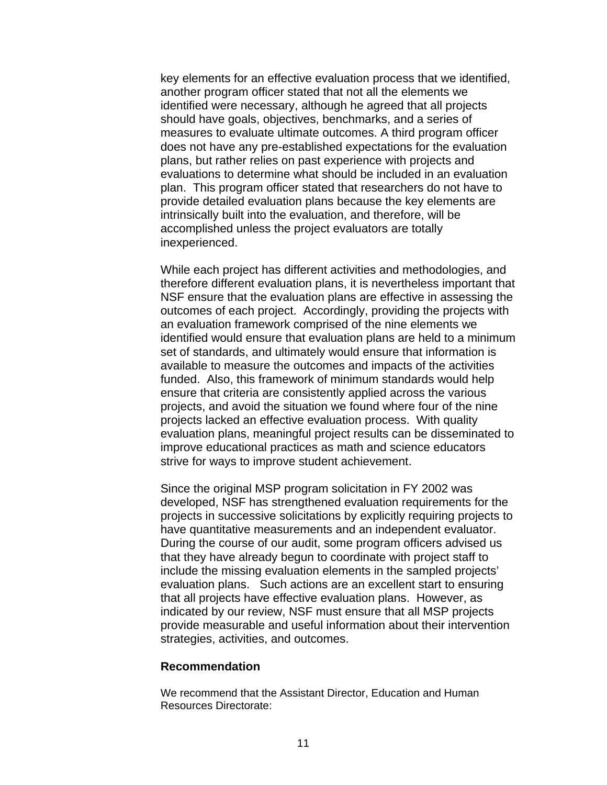key elements for an effective evaluation process that we identified, another program officer stated that not all the elements we identified were necessary, although he agreed that all projects should have goals, objectives, benchmarks, and a series of measures to evaluate ultimate outcomes. A third program officer does not have any pre-established expectations for the evaluation plans, but rather relies on past experience with projects and evaluations to determine what should be included in an evaluation plan. This program officer stated that researchers do not have to provide detailed evaluation plans because the key elements are intrinsically built into the evaluation, and therefore, will be accomplished unless the project evaluators are totally inexperienced.

While each project has different activities and methodologies, and therefore different evaluation plans, it is nevertheless important that NSF ensure that the evaluation plans are effective in assessing the outcomes of each project. Accordingly, providing the projects with an evaluation framework comprised of the nine elements we identified would ensure that evaluation plans are held to a minimum set of standards, and ultimately would ensure that information is available to measure the outcomes and impacts of the activities funded. Also, this framework of minimum standards would help ensure that criteria are consistently applied across the various projects, and avoid the situation we found where four of the nine projects lacked an effective evaluation process. With quality evaluation plans, meaningful project results can be disseminated to improve educational practices as math and science educators strive for ways to improve student achievement.

Since the original MSP program solicitation in FY 2002 was developed, NSF has strengthened evaluation requirements for the projects in successive solicitations by explicitly requiring projects to have quantitative measurements and an independent evaluator. During the course of our audit, some program officers advised us that they have already begun to coordinate with project staff to include the missing evaluation elements in the sampled projects' evaluation plans. Such actions are an excellent start to ensuring that all projects have effective evaluation plans. However, as indicated by our review, NSF must ensure that all MSP projects provide measurable and useful information about their intervention strategies, activities, and outcomes.

#### **Recommendation**

We recommend that the Assistant Director, Education and Human Resources Directorate: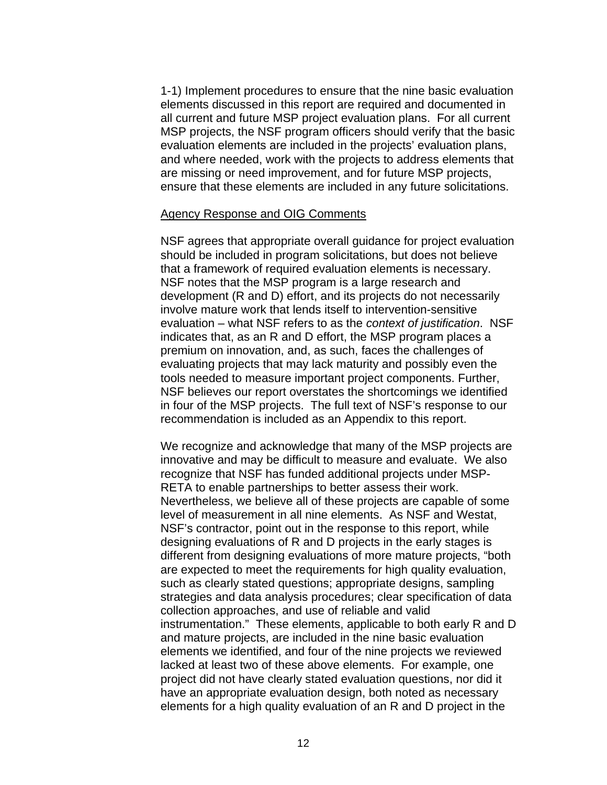1-1) Implement procedures to ensure that the nine basic evaluation elements discussed in this report are required and documented in all current and future MSP project evaluation plans. For all current MSP projects, the NSF program officers should verify that the basic evaluation elements are included in the projects' evaluation plans, and where needed, work with the projects to address elements that are missing or need improvement, and for future MSP projects, ensure that these elements are included in any future solicitations.

#### Agency Response and OIG Comments

NSF agrees that appropriate overall guidance for project evaluation should be included in program solicitations, but does not believe that a framework of required evaluation elements is necessary. NSF notes that the MSP program is a large research and development (R and D) effort, and its projects do not necessarily involve mature work that lends itself to intervention-sensitive evaluation – what NSF refers to as the *context of justification*. NSF indicates that, as an R and D effort, the MSP program places a premium on innovation, and, as such, faces the challenges of evaluating projects that may lack maturity and possibly even the tools needed to measure important project components. Further, NSF believes our report overstates the shortcomings we identified in four of the MSP projects. The full text of NSF's response to our recommendation is included as an Appendix to this report.

We recognize and acknowledge that many of the MSP projects are innovative and may be difficult to measure and evaluate. We also recognize that NSF has funded additional projects under MSP-RETA to enable partnerships to better assess their work. Nevertheless, we believe all of these projects are capable of some level of measurement in all nine elements. As NSF and Westat, NSF's contractor, point out in the response to this report, while designing evaluations of R and D projects in the early stages is different from designing evaluations of more mature projects, "both are expected to meet the requirements for high quality evaluation, such as clearly stated questions; appropriate designs, sampling strategies and data analysis procedures; clear specification of data collection approaches, and use of reliable and valid instrumentation." These elements, applicable to both early R and D and mature projects, are included in the nine basic evaluation elements we identified, and four of the nine projects we reviewed lacked at least two of these above elements. For example, one project did not have clearly stated evaluation questions, nor did it have an appropriate evaluation design, both noted as necessary elements for a high quality evaluation of an R and D project in the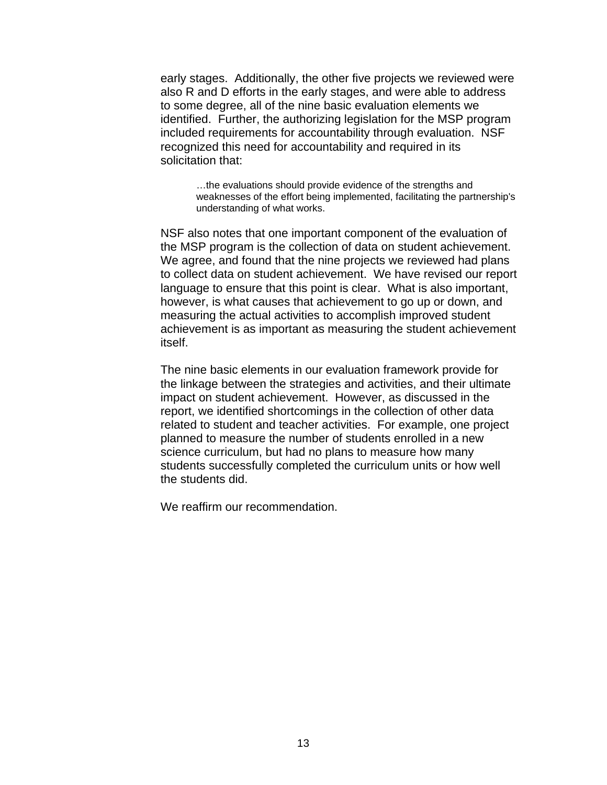early stages. Additionally, the other five projects we reviewed were also R and D efforts in the early stages, and were able to address to some degree, all of the nine basic evaluation elements we identified. Further, the authorizing legislation for the MSP program included requirements for accountability through evaluation. NSF recognized this need for accountability and required in its solicitation that:

…the evaluations should provide evidence of the strengths and weaknesses of the effort being implemented, facilitating the partnership's understanding of what works.

NSF also notes that one important component of the evaluation of the MSP program is the collection of data on student achievement. We agree, and found that the nine projects we reviewed had plans to collect data on student achievement. We have revised our report language to ensure that this point is clear. What is also important, however, is what causes that achievement to go up or down, and measuring the actual activities to accomplish improved student achievement is as important as measuring the student achievement itself.

The nine basic elements in our evaluation framework provide for the linkage between the strategies and activities, and their ultimate impact on student achievement. However, as discussed in the report, we identified shortcomings in the collection of other data related to student and teacher activities. For example, one project planned to measure the number of students enrolled in a new science curriculum, but had no plans to measure how many students successfully completed the curriculum units or how well the students did.

We reaffirm our recommendation.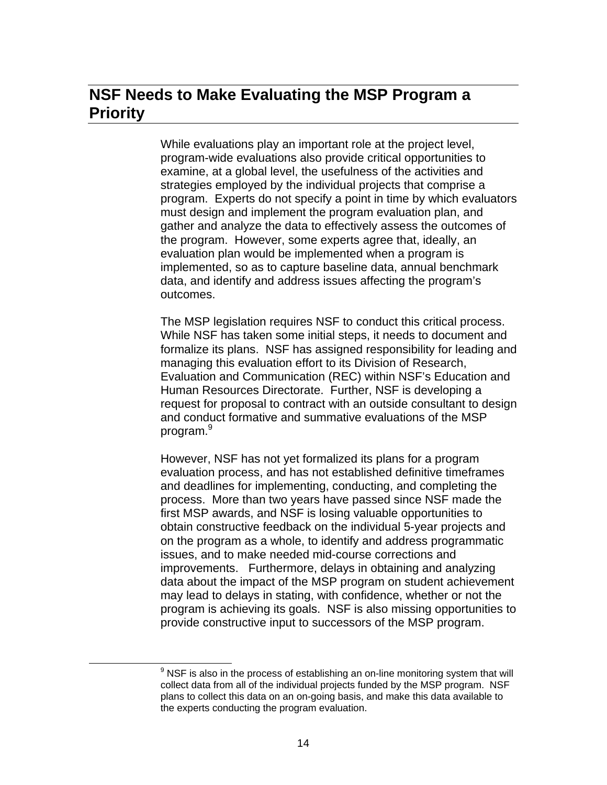## **NSF Needs to Make Evaluating the MSP Program a Priority**

While evaluations play an important role at the project level, program-wide evaluations also provide critical opportunities to examine, at a global level, the usefulness of the activities and strategies employed by the individual projects that comprise a program. Experts do not specify a point in time by which evaluators must design and implement the program evaluation plan, and gather and analyze the data to effectively assess the outcomes of the program. However, some experts agree that, ideally, an evaluation plan would be implemented when a program is implemented, so as to capture baseline data, annual benchmark data, and identify and address issues affecting the program's outcomes.

The MSP legislation requires NSF to conduct this critical process. While NSF has taken some initial steps, it needs to document and formalize its plans. NSF has assigned responsibility for leading and managing this evaluation effort to its Division of Research, Evaluation and Communication (REC) within NSF's Education and Human Resources Directorate. Further, NSF is developing a request for proposal to contract with an outside consultant to design and conduct formative and summative evaluations of the MSP program.<sup>9</sup>

However, NSF has not yet formalized its plans for a program evaluation process, and has not established definitive timeframes and deadlines for implementing, conducting, and completing the process. More than two years have passed since NSF made the first MSP awards, and NSF is losing valuable opportunities to obtain constructive feedback on the individual 5-year projects and on the program as a whole, to identify and address programmatic issues, and to make needed mid-course corrections and improvements. Furthermore, delays in obtaining and analyzing data about the impact of the MSP program on student achievement may lead to delays in stating, with confidence, whether or not the program is achieving its goals. NSF is also missing opportunities to provide constructive input to successors of the MSP program.

 <sup>9</sup>  $9$  NSF is also in the process of establishing an on-line monitoring system that will collect data from all of the individual projects funded by the MSP program. NSF plans to collect this data on an on-going basis, and make this data available to the experts conducting the program evaluation.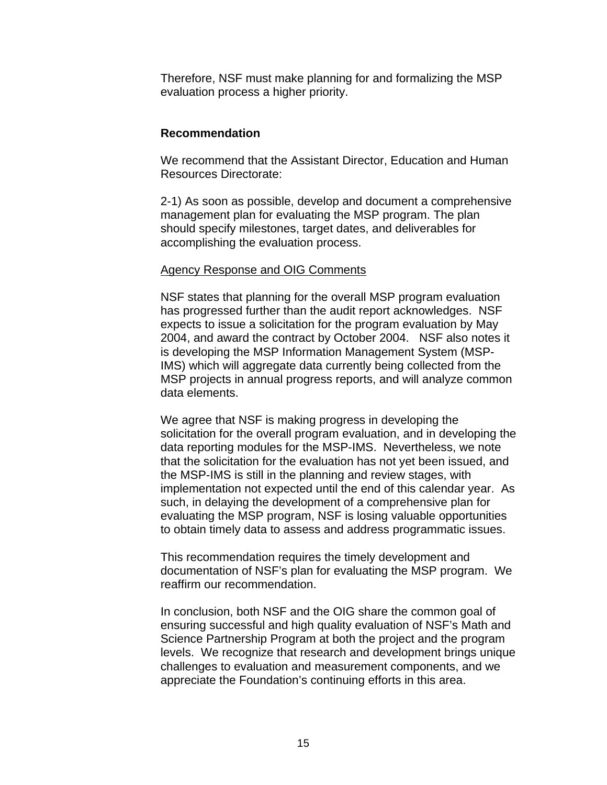Therefore, NSF must make planning for and formalizing the MSP evaluation process a higher priority.

#### **Recommendation**

We recommend that the Assistant Director, Education and Human Resources Directorate:

2-1) As soon as possible, develop and document a comprehensive management plan for evaluating the MSP program. The plan should specify milestones, target dates, and deliverables for accomplishing the evaluation process.

#### Agency Response and OIG Comments

NSF states that planning for the overall MSP program evaluation has progressed further than the audit report acknowledges. NSF expects to issue a solicitation for the program evaluation by May 2004, and award the contract by October 2004. NSF also notes it is developing the MSP Information Management System (MSP-IMS) which will aggregate data currently being collected from the MSP projects in annual progress reports, and will analyze common data elements.

We agree that NSF is making progress in developing the solicitation for the overall program evaluation, and in developing the data reporting modules for the MSP-IMS. Nevertheless, we note that the solicitation for the evaluation has not yet been issued, and the MSP-IMS is still in the planning and review stages, with implementation not expected until the end of this calendar year. As such, in delaying the development of a comprehensive plan for evaluating the MSP program, NSF is losing valuable opportunities to obtain timely data to assess and address programmatic issues.

This recommendation requires the timely development and documentation of NSF's plan for evaluating the MSP program. We reaffirm our recommendation.

In conclusion, both NSF and the OIG share the common goal of ensuring successful and high quality evaluation of NSF's Math and Science Partnership Program at both the project and the program levels. We recognize that research and development brings unique challenges to evaluation and measurement components, and we appreciate the Foundation's continuing efforts in this area.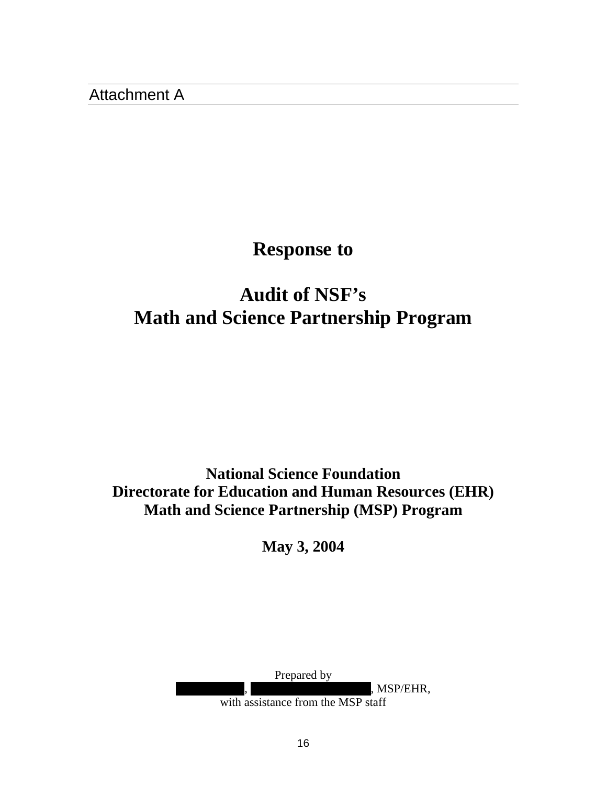Attachment A

## **Response to**

# **Audit of NSF's Math and Science Partnership Program**

**National Science Foundation Directorate for Education and Human Resources (EHR) Math and Science Partnership (MSP) Program** 

**May 3, 2004** 

Prepared by

, MSP/EHR,

with assistance from the MSP staff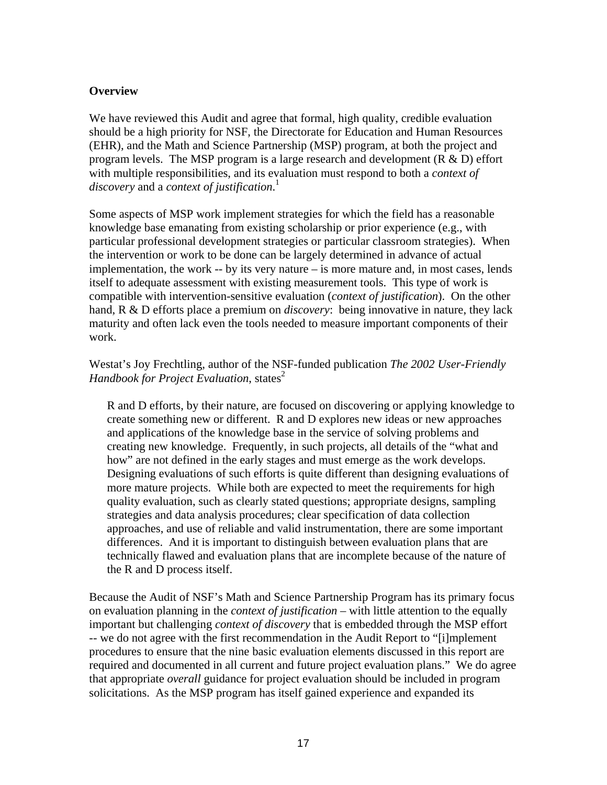#### **Overview**

We have reviewed this Audit and agree that formal, high quality, credible evaluation should be a high priority for NSF, the Directorate for Education and Human Resources (EHR), and the Math and Science Partnership (MSP) program, at both the project and program levels. The MSP program is a large research and development  $(R & D)$  effort with multiple responsibilities, and its evaluation must respond to both a *context of discovery* and a *context of justification*. 1

Some aspects of MSP work implement strategies for which the field has a reasonable knowledge base emanating from existing scholarship or prior experience (e.g., with particular professional development strategies or particular classroom strategies). When the intervention or work to be done can be largely determined in advance of actual implementation, the work -- by its very nature – is more mature and, in most cases, lends itself to adequate assessment with existing measurement tools. This type of work is compatible with intervention-sensitive evaluation (*context of justification*). On the other hand, R & D efforts place a premium on *discovery*: being innovative in nature, they lack maturity and often lack even the tools needed to measure important components of their work.

Westat's Joy Frechtling, author of the NSF-funded publication *The 2002 User-Friendly Handbook for Project Evaluation*, states<sup>2</sup>

R and D efforts, by their nature, are focused on discovering or applying knowledge to create something new or different. R and D explores new ideas or new approaches and applications of the knowledge base in the service of solving problems and creating new knowledge. Frequently, in such projects, all details of the "what and how" are not defined in the early stages and must emerge as the work develops. Designing evaluations of such efforts is quite different than designing evaluations of more mature projects. While both are expected to meet the requirements for high quality evaluation, such as clearly stated questions; appropriate designs, sampling strategies and data analysis procedures; clear specification of data collection approaches, and use of reliable and valid instrumentation, there are some important differences. And it is important to distinguish between evaluation plans that are technically flawed and evaluation plans that are incomplete because of the nature of the R and D process itself.

Because the Audit of NSF's Math and Science Partnership Program has its primary focus on evaluation planning in the *context of justification* – with little attention to the equally important but challenging *context of discovery* that is embedded through the MSP effort -- we do not agree with the first recommendation in the Audit Report to "[i]mplement procedures to ensure that the nine basic evaluation elements discussed in this report are required and documented in all current and future project evaluation plans." We do agree that appropriate *overall* guidance for project evaluation should be included in program solicitations. As the MSP program has itself gained experience and expanded its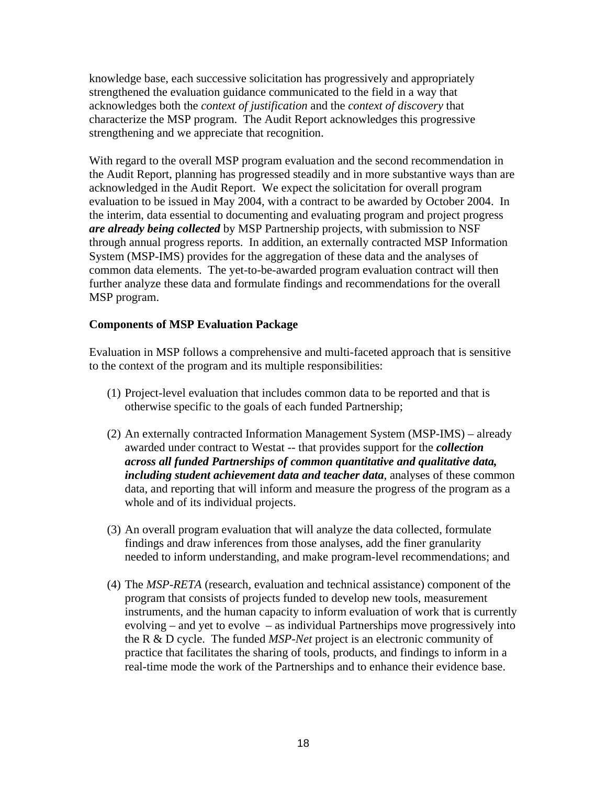knowledge base, each successive solicitation has progressively and appropriately strengthened the evaluation guidance communicated to the field in a way that acknowledges both the *context of justification* and the *context of discovery* that characterize the MSP program. The Audit Report acknowledges this progressive strengthening and we appreciate that recognition.

With regard to the overall MSP program evaluation and the second recommendation in the Audit Report, planning has progressed steadily and in more substantive ways than are acknowledged in the Audit Report. We expect the solicitation for overall program evaluation to be issued in May 2004, with a contract to be awarded by October 2004. In the interim, data essential to documenting and evaluating program and project progress *are already being collected* by MSP Partnership projects, with submission to NSF through annual progress reports. In addition, an externally contracted MSP Information System (MSP-IMS) provides for the aggregation of these data and the analyses of common data elements. The yet-to-be-awarded program evaluation contract will then further analyze these data and formulate findings and recommendations for the overall MSP program.

#### **Components of MSP Evaluation Package**

Evaluation in MSP follows a comprehensive and multi-faceted approach that is sensitive to the context of the program and its multiple responsibilities:

- (1) Project-level evaluation that includes common data to be reported and that is otherwise specific to the goals of each funded Partnership;
- (2) An externally contracted Information Management System (MSP-IMS) already awarded under contract to Westat -- that provides support for the *collection across all funded Partnerships of common quantitative and qualitative data, including student achievement data and teacher data*, analyses of these common data, and reporting that will inform and measure the progress of the program as a whole and of its individual projects.
- (3) An overall program evaluation that will analyze the data collected, formulate findings and draw inferences from those analyses, add the finer granularity needed to inform understanding, and make program-level recommendations; and
- (4) The *MSP-RETA* (research, evaluation and technical assistance) component of the program that consists of projects funded to develop new tools, measurement instruments, and the human capacity to inform evaluation of work that is currently evolving – and yet to evolve – as individual Partnerships move progressively into the R & D cycle. The funded *MSP-Net* project is an electronic community of practice that facilitates the sharing of tools, products, and findings to inform in a real-time mode the work of the Partnerships and to enhance their evidence base.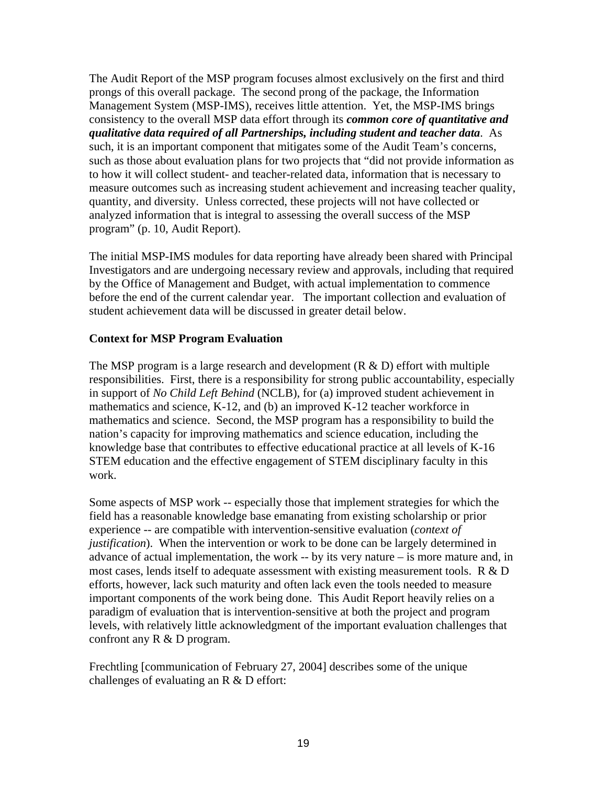The Audit Report of the MSP program focuses almost exclusively on the first and third prongs of this overall package. The second prong of the package, the Information Management System (MSP-IMS), receives little attention. Yet, the MSP-IMS brings consistency to the overall MSP data effort through its *common core of quantitative and qualitative data required of all Partnerships, including student and teacher data*. As such, it is an important component that mitigates some of the Audit Team's concerns, such as those about evaluation plans for two projects that "did not provide information as to how it will collect student- and teacher-related data, information that is necessary to measure outcomes such as increasing student achievement and increasing teacher quality, quantity, and diversity. Unless corrected, these projects will not have collected or analyzed information that is integral to assessing the overall success of the MSP program" (p. 10, Audit Report).

The initial MSP-IMS modules for data reporting have already been shared with Principal Investigators and are undergoing necessary review and approvals, including that required by the Office of Management and Budget, with actual implementation to commence before the end of the current calendar year. The important collection and evaluation of student achievement data will be discussed in greater detail below.

#### **Context for MSP Program Evaluation**

The MSP program is a large research and development  $(R & D)$  effort with multiple responsibilities. First, there is a responsibility for strong public accountability, especially in support of *No Child Left Behind* (NCLB), for (a) improved student achievement in mathematics and science, K-12, and (b) an improved K-12 teacher workforce in mathematics and science. Second, the MSP program has a responsibility to build the nation's capacity for improving mathematics and science education, including the knowledge base that contributes to effective educational practice at all levels of K-16 STEM education and the effective engagement of STEM disciplinary faculty in this work.

Some aspects of MSP work -- especially those that implement strategies for which the field has a reasonable knowledge base emanating from existing scholarship or prior experience -- are compatible with intervention-sensitive evaluation (*context of justification*). When the intervention or work to be done can be largely determined in advance of actual implementation, the work -- by its very nature – is more mature and, in most cases, lends itself to adequate assessment with existing measurement tools. R & D efforts, however, lack such maturity and often lack even the tools needed to measure important components of the work being done. This Audit Report heavily relies on a paradigm of evaluation that is intervention-sensitive at both the project and program levels, with relatively little acknowledgment of the important evaluation challenges that confront any R & D program.

Frechtling [communication of February 27, 2004] describes some of the unique challenges of evaluating an R & D effort: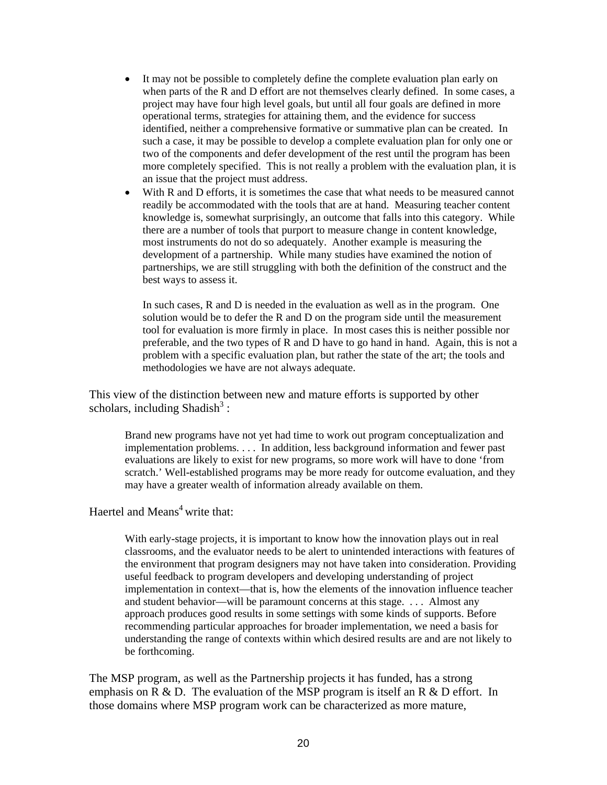- It may not be possible to completely define the complete evaluation plan early on when parts of the R and D effort are not themselves clearly defined. In some cases, a project may have four high level goals, but until all four goals are defined in more operational terms, strategies for attaining them, and the evidence for success identified, neither a comprehensive formative or summative plan can be created. In such a case, it may be possible to develop a complete evaluation plan for only one or two of the components and defer development of the rest until the program has been more completely specified. This is not really a problem with the evaluation plan, it is an issue that the project must address.
- With R and D efforts, it is sometimes the case that what needs to be measured cannot readily be accommodated with the tools that are at hand. Measuring teacher content knowledge is, somewhat surprisingly, an outcome that falls into this category. While there are a number of tools that purport to measure change in content knowledge, most instruments do not do so adequately. Another example is measuring the development of a partnership. While many studies have examined the notion of partnerships, we are still struggling with both the definition of the construct and the best ways to assess it.

In such cases, R and D is needed in the evaluation as well as in the program. One solution would be to defer the R and D on the program side until the measurement tool for evaluation is more firmly in place. In most cases this is neither possible nor preferable, and the two types of R and D have to go hand in hand. Again, this is not a problem with a specific evaluation plan, but rather the state of the art; the tools and methodologies we have are not always adequate.

This view of the distinction between new and mature efforts is supported by other scholars, including Shadish $3$ :

Brand new programs have not yet had time to work out program conceptualization and implementation problems. . . . In addition, less background information and fewer past evaluations are likely to exist for new programs, so more work will have to done 'from scratch.' Well-established programs may be more ready for outcome evaluation, and they may have a greater wealth of information already available on them.

#### Haertel and Means<sup>4</sup> write that:

With early-stage projects, it is important to know how the innovation plays out in real classrooms, and the evaluator needs to be alert to unintended interactions with features of the environment that program designers may not have taken into consideration. Providing useful feedback to program developers and developing understanding of project implementation in context—that is, how the elements of the innovation influence teacher and student behavior—will be paramount concerns at this stage. . . . Almost any approach produces good results in some settings with some kinds of supports. Before recommending particular approaches for broader implementation, we need a basis for understanding the range of contexts within which desired results are and are not likely to be forthcoming.

The MSP program, as well as the Partnership projects it has funded, has a strong emphasis on R & D. The evaluation of the MSP program is itself an R & D effort. In those domains where MSP program work can be characterized as more mature,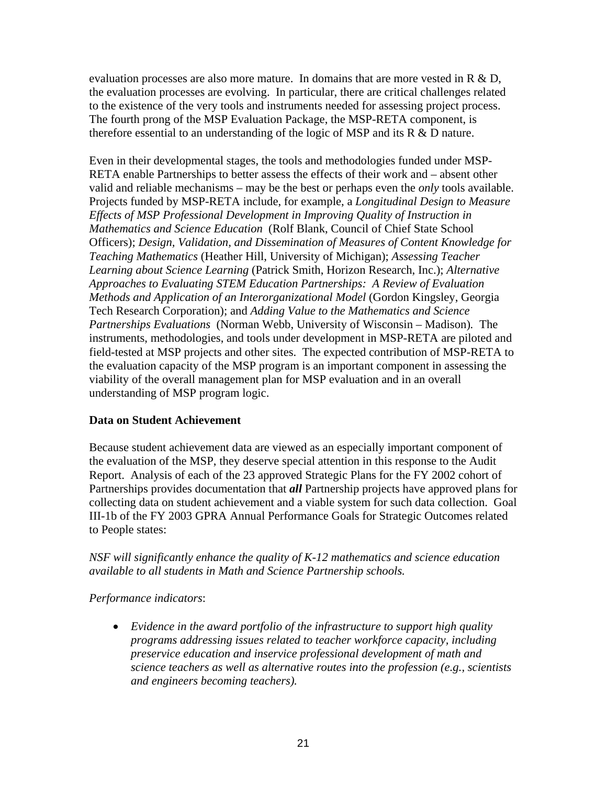evaluation processes are also more mature. In domains that are more vested in  $R \& D$ , the evaluation processes are evolving. In particular, there are critical challenges related to the existence of the very tools and instruments needed for assessing project process. The fourth prong of the MSP Evaluation Package, the MSP-RETA component, is therefore essential to an understanding of the logic of MSP and its R & D nature.

Even in their developmental stages, the tools and methodologies funded under MSP-RETA enable Partnerships to better assess the effects of their work and – absent other valid and reliable mechanisms – may be the best or perhaps even the *only* tools available. Projects funded by MSP-RETA include, for example, a *Longitudinal Design to Measure Effects of MSP Professional Development in Improving Quality of Instruction in Mathematics and Science Education* (Rolf Blank, Council of Chief State School Officers); *Design, Validation, and Dissemination of Measures of Content Knowledge for Teaching Mathematics* (Heather Hill, University of Michigan); *Assessing Teacher Learning about Science Learning* (Patrick Smith, Horizon Research, Inc.); *Alternative Approaches to Evaluating STEM Education Partnerships: A Review of Evaluation Methods and Application of an Interorganizational Model* (Gordon Kingsley, Georgia Tech Research Corporation); and *Adding Value to the Mathematics and Science Partnerships Evaluations* (Norman Webb, University of Wisconsin – Madison)*.* The instruments, methodologies, and tools under development in MSP-RETA are piloted and field-tested at MSP projects and other sites. The expected contribution of MSP-RETA to the evaluation capacity of the MSP program is an important component in assessing the viability of the overall management plan for MSP evaluation and in an overall understanding of MSP program logic.

#### **Data on Student Achievement**

Because student achievement data are viewed as an especially important component of the evaluation of the MSP, they deserve special attention in this response to the Audit Report. Analysis of each of the 23 approved Strategic Plans for the FY 2002 cohort of Partnerships provides documentation that *all* Partnership projects have approved plans for collecting data on student achievement and a viable system for such data collection. Goal III-1b of the FY 2003 GPRA Annual Performance Goals for Strategic Outcomes related to People states:

#### *NSF will significantly enhance the quality of K-12 mathematics and science education available to all students in Math and Science Partnership schools.*

#### *Performance indicators*:

• *Evidence in the award portfolio of the infrastructure to support high quality programs addressing issues related to teacher workforce capacity, including preservice education and inservice professional development of math and science teachers as well as alternative routes into the profession (e.g., scientists and engineers becoming teachers).*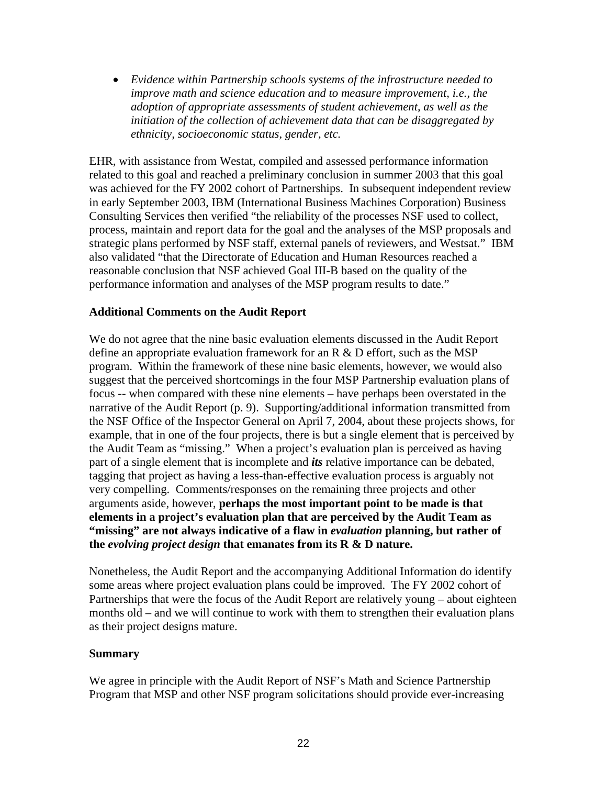• *Evidence within Partnership schools systems of the infrastructure needed to improve math and science education and to measure improvement, i.e., the adoption of appropriate assessments of student achievement, as well as the initiation of the collection of achievement data that can be disaggregated by ethnicity, socioeconomic status, gender, etc.* 

EHR, with assistance from Westat, compiled and assessed performance information related to this goal and reached a preliminary conclusion in summer 2003 that this goal was achieved for the FY 2002 cohort of Partnerships. In subsequent independent review in early September 2003, IBM (International Business Machines Corporation) Business Consulting Services then verified "the reliability of the processes NSF used to collect, process, maintain and report data for the goal and the analyses of the MSP proposals and strategic plans performed by NSF staff, external panels of reviewers, and Westsat." IBM also validated "that the Directorate of Education and Human Resources reached a reasonable conclusion that NSF achieved Goal III-B based on the quality of the performance information and analyses of the MSP program results to date."

#### **Additional Comments on the Audit Report**

We do not agree that the nine basic evaluation elements discussed in the Audit Report define an appropriate evaluation framework for an  $R \& D$  effort, such as the MSP program. Within the framework of these nine basic elements, however, we would also suggest that the perceived shortcomings in the four MSP Partnership evaluation plans of focus -- when compared with these nine elements – have perhaps been overstated in the narrative of the Audit Report (p. 9). Supporting/additional information transmitted from the NSF Office of the Inspector General on April 7, 2004, about these projects shows, for example, that in one of the four projects, there is but a single element that is perceived by the Audit Team as "missing." When a project's evaluation plan is perceived as having part of a single element that is incomplete and *its* relative importance can be debated, tagging that project as having a less-than-effective evaluation process is arguably not very compelling. Comments/responses on the remaining three projects and other arguments aside, however, **perhaps the most important point to be made is that elements in a project's evaluation plan that are perceived by the Audit Team as "missing" are not always indicative of a flaw in** *evaluation* **planning, but rather of the** *evolving project design* **that emanates from its R & D nature.**

Nonetheless, the Audit Report and the accompanying Additional Information do identify some areas where project evaluation plans could be improved. The FY 2002 cohort of Partnerships that were the focus of the Audit Report are relatively young – about eighteen months old – and we will continue to work with them to strengthen their evaluation plans as their project designs mature.

#### **Summary**

We agree in principle with the Audit Report of NSF's Math and Science Partnership Program that MSP and other NSF program solicitations should provide ever-increasing